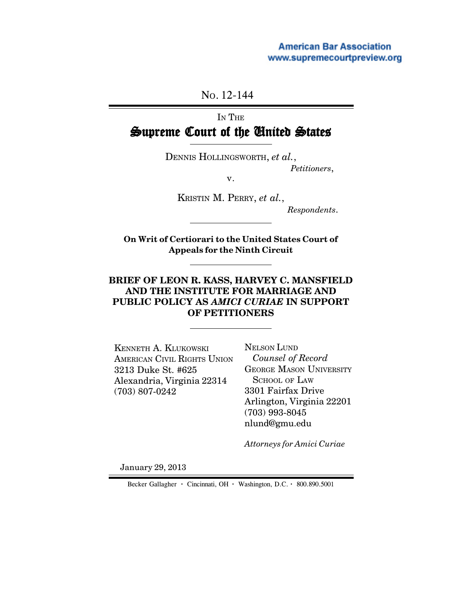NO. 12-144

# IN THE Supreme Court of the United States

DENNIS HOLLINGSWORTH, *et al.*,

*Petitioners*,

v.

KRISTIN M. PERRY, *et al.*,

 *Respondents*.

**On Writ of Certiorari to the United States Court of Appeals for the Ninth Circuit**

## **BRIEF OF LEON R. KASS, HARVEY C. MANSFIELD AND THE INSTITUTE FOR MARRIAGE AND PUBLIC POLICY AS** *AMICI CURIAE* **IN SUPPORT OF PETITIONERS**

KENNETH A. KLUKOWSKI AMERICAN CIVIL RIGHTS UNION 3213 Duke St. #625 Alexandria, Virginia 22314 (703) 807-0242

NELSON LUND  *Counsel of Record* GEORGE MASON UNIVERSITY SCHOOL OF LAW 3301 Fairfax Drive Arlington, Virginia 22201 (703) 993-8045 nlund@gmu.edu

*Attorneys for Amici Curiae*

January 29, 2013

Becker Gallagher **·** Cincinnati, OH **·** Washington, D.C. **·** 800.890.5001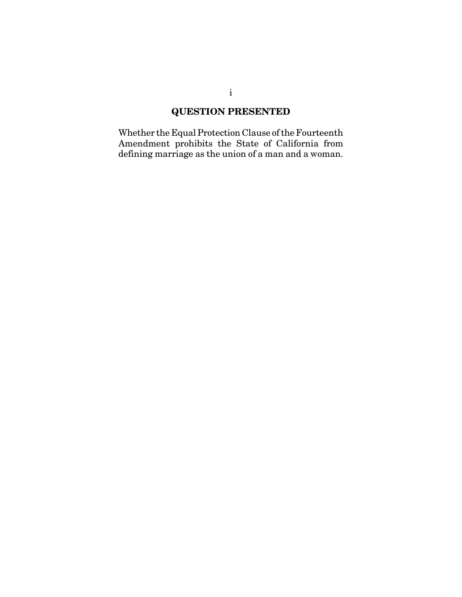## **QUESTION PRESENTED**

Whether the Equal Protection Clause of the Fourteenth Amendment prohibits the State of California from defining marriage as the union of a man and a woman.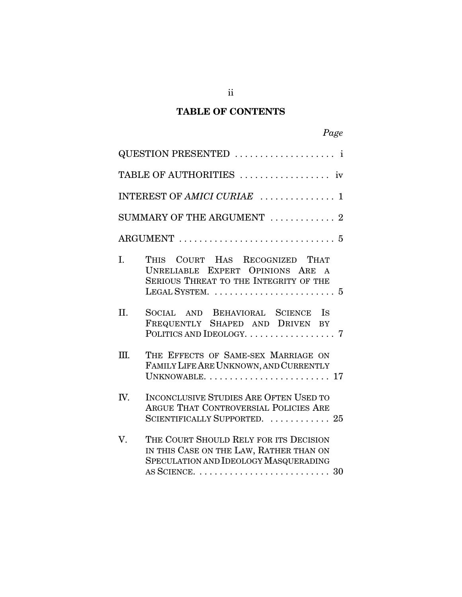## **TABLE OF CONTENTS**

|                             | QUESTION PRESENTED  i                                                                                                                                                                          |  |  |  |  |  |
|-----------------------------|------------------------------------------------------------------------------------------------------------------------------------------------------------------------------------------------|--|--|--|--|--|
| TABLE OF AUTHORITIES  iv    |                                                                                                                                                                                                |  |  |  |  |  |
| INTEREST OF AMICI CURIAE  1 |                                                                                                                                                                                                |  |  |  |  |  |
|                             | SUMMARY OF THE ARGUMENT  2                                                                                                                                                                     |  |  |  |  |  |
|                             |                                                                                                                                                                                                |  |  |  |  |  |
| T.                          | THIS COURT HAS RECOGNIZED THAT<br>UNRELIABLE EXPERT OPINIONS ARE<br>SERIOUS THREAT TO THE INTEGRITY OF THE                                                                                     |  |  |  |  |  |
| II.                         | SOCIAL AND BEHAVIORAL SCIENCE IS<br>FREQUENTLY SHAPED AND DRIVEN BY                                                                                                                            |  |  |  |  |  |
| Ш.                          | THE EFFECTS OF SAME-SEX MARRIAGE ON<br>FAMILY LIFE ARE UNKNOWN, AND CURRENTLY<br>UNKNOWABLE. $\dots \dots \dots \dots \dots \dots \dots \dots \dots \dots 17$                                  |  |  |  |  |  |
| IV.                         | <b>INCONCLUSIVE STUDIES ARE OFTEN USED TO</b><br>ARGUE THAT CONTROVERSIAL POLICIES ARE<br>SCIENTIFICALLY SUPPORTED.  25                                                                        |  |  |  |  |  |
| V.                          | THE COURT SHOULD RELY FOR ITS DECISION<br>IN THIS CASE ON THE LAW, RATHER THAN ON<br>SPECULATION AND IDEOLOGY MASQUERADING<br>AS SCIENCE. $\dots\dots\dots\dots\dots\dots\dots\dots\dots\dots$ |  |  |  |  |  |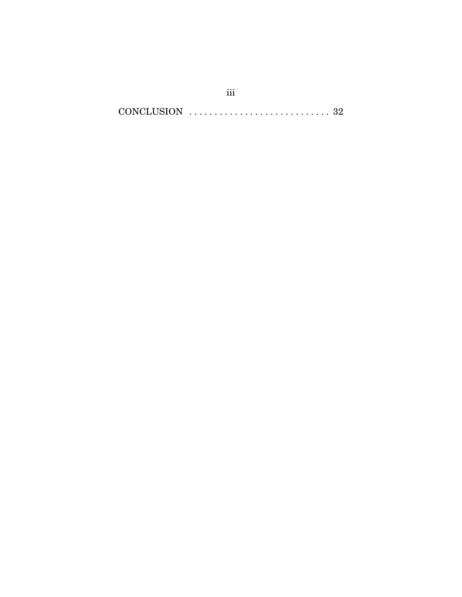CONCLUSION . . . . . . . . . . . . . . . . . . . . . . . . . . . . 32

iii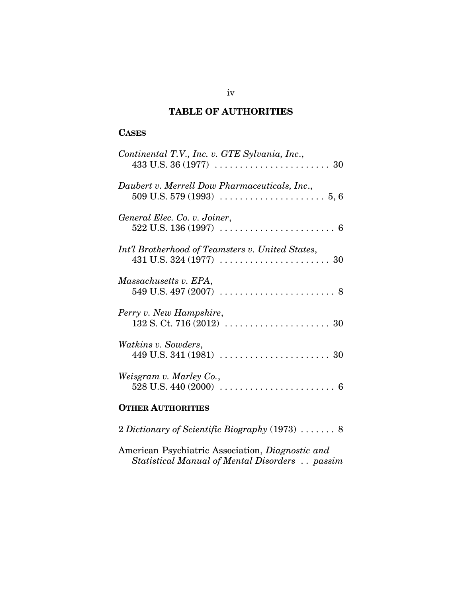## **TABLE OF AUTHORITIES**

#### **CASES**

| Continental T.V., Inc. v. GTE Sylvania, Inc.,                                                            |
|----------------------------------------------------------------------------------------------------------|
| Daubert v. Merrell Dow Pharmaceuticals, Inc.,                                                            |
| General Elec. Co. v. Joiner,                                                                             |
| Int'l Brotherhood of Teamsters v. United States,                                                         |
| Massachusetts v. EPA,<br>549 U.S. 497 (2007) $\ldots \ldots \ldots \ldots \ldots \ldots \ldots \ldots 8$ |
| Perry v. New Hampshire,                                                                                  |
| <i>Watkins v. Sowders,</i>                                                                               |
| Weisgram v. Marley Co.,<br>$528$ U.S. $440(2000)$<br>6                                                   |
| <b>OTHER AUTHORITIES</b>                                                                                 |

2 *Dictionary of Scientific Biography* (1973) ....... 8

American Psychiatric Association, *Diagnostic and Statistical Manual of Mental Disorders* .. *passim*

iv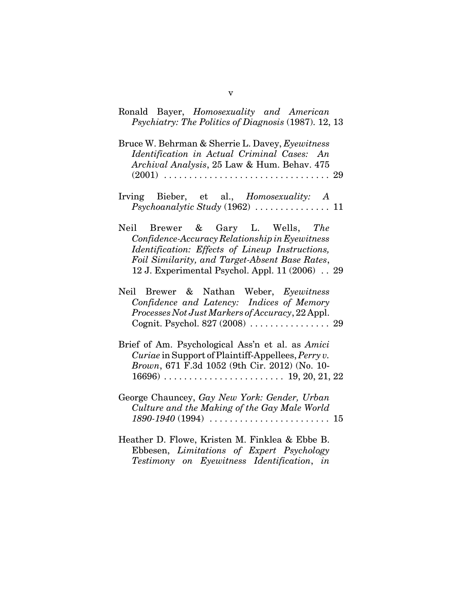| Ronald Bayer, Homosexuality and American<br>Psychiatry: The Politics of Diagnosis (1987). 12, 13                                                                                                                                           |
|--------------------------------------------------------------------------------------------------------------------------------------------------------------------------------------------------------------------------------------------|
| Bruce W. Behrman & Sherrie L. Davey, Eyewitness<br>Identification in Actual Criminal Cases: An<br>Archival Analysis, 25 Law & Hum. Behav. 475                                                                                              |
| Irving Bieber, et al., <i>Homosexuality: A</i><br>$Psychonalytic Study (1962) \ldots \ldots \ldots \ldots 11$                                                                                                                              |
| Neil Brewer & Gary L. Wells, The<br>Confidence-Accuracy Relationship in Eyewitness<br>Identification: Effects of Lineup Instructions,<br>Foil Similarity, and Target-Absent Base Rates,<br>12 J. Experimental Psychol. Appl. 11 (2006). 29 |
| Neil Brewer & Nathan Weber, Eyewitness<br>Confidence and Latency: Indices of Memory<br>Processes Not Just Markers of Accuracy, 22 Appl.<br>Cognit. Psychol. 827 (2008)  29                                                                 |
| Brief of Am. Psychological Ass'n et al. as Amici<br>Curiae in Support of Plaintiff-Appellees, Perry v.<br>Brown, 671 F.3d 1052 (9th Cir. 2012) (No. 10-                                                                                    |
| George Chauncey, Gay New York: Gender, Urban<br>Culture and the Making of the Gay Male World<br>$1890 - 1940(1994) \ldots \ldots \ldots \ldots \ldots \ldots \ldots 15$                                                                    |
| Heather D. Flowe, Kristen M. Finklea & Ebbe B.<br>Ebbesen, Limitations of Expert Psychology<br>Testimony on Eyewitness Identification, in                                                                                                  |

v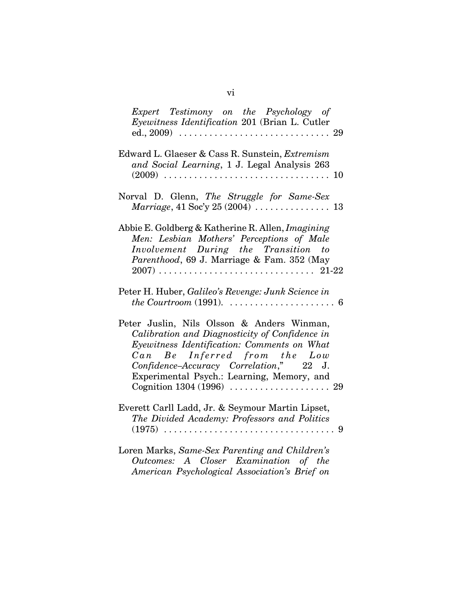| Expert Testimony on the Psychology of<br>Eyewitness Identification 201 (Brian L. Cutler                                                                                                                                                                              |
|----------------------------------------------------------------------------------------------------------------------------------------------------------------------------------------------------------------------------------------------------------------------|
| Edward L. Glaeser & Cass R. Sunstein, Extremism<br>and Social Learning, 1 J. Legal Analysis 263                                                                                                                                                                      |
| Norval D. Glenn, The Struggle for Same-Sex                                                                                                                                                                                                                           |
| Abbie E. Goldberg & Katherine R. Allen, Imagining<br>Men: Lesbian Mothers' Perceptions of Male<br>Involvement During the Transition to<br>Parenthood, 69 J. Marriage & Fam. 352 (May                                                                                 |
| Peter H. Huber, Galileo's Revenge: Junk Science in                                                                                                                                                                                                                   |
| Peter Juslin, Nils Olsson & Anders Winman,<br>Calibration and Diagnosticity of Confidence in<br>Eyewitness Identification: Comments on What<br>Can Be Inferred from the Low<br>Confidence-Accuracy Correlation," 22 J.<br>Experimental Psych.: Learning, Memory, and |
| Everett Carll Ladd, Jr. & Seymour Martin Lipset,<br>The Divided Academy: Professors and Politics<br>$(1975)$<br>-9                                                                                                                                                   |
| Loren Marks, Same-Sex Parenting and Children's<br>Outcomes: A Closer Examination of the<br>American Psychological Association's Brief on                                                                                                                             |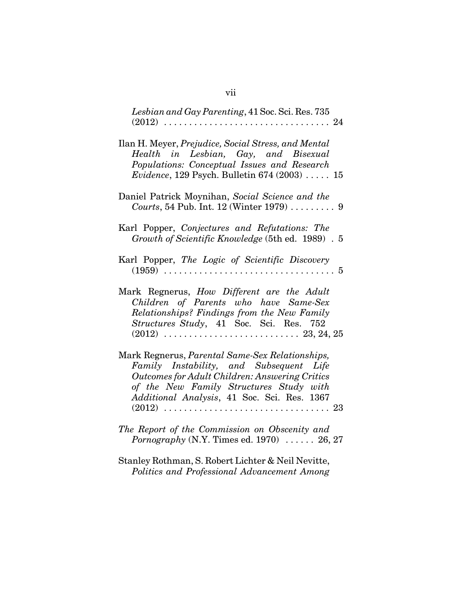| Lesbian and Gay Parenting, 41 Soc. Sci. Res. 735<br>$(2012)$<br>. 24                                                                                                                                                                          |
|-----------------------------------------------------------------------------------------------------------------------------------------------------------------------------------------------------------------------------------------------|
| Ilan H. Meyer, Prejudice, Social Stress, and Mental<br>Health in Lesbian, Gay, and Bisexual<br>Populations: Conceptual Issues and Research<br><i>Evidence</i> , 129 Psych. Bulletin $674 (2003)  15$                                          |
| Daniel Patrick Moynihan, Social Science and the<br>Courts, 54 Pub. Int. 12 (Winter 1979)  9                                                                                                                                                   |
| Karl Popper, Conjectures and Refutations: The<br>Growth of Scientific Knowledge (5th ed. 1989) . 5                                                                                                                                            |
| Karl Popper, The Logic of Scientific Discovery<br>$(1959) \ldots \ldots$<br>. 5                                                                                                                                                               |
| Mark Regnerus, How Different are the Adult<br>Children of Parents who have Same-Sex<br>Relationships? Findings from the New Family<br>Structures Study, 41 Soc. Sci. Res. 752                                                                 |
| Mark Regnerus, Parental Same-Sex Relationships,<br>Family Instability, and Subsequent Life<br><b>Outcomes for Adult Children: Answering Critics</b><br>of the New Family Structures Study with<br>Additional Analysis, 41 Soc. Sci. Res. 1367 |
| The Report of the Commission on Obscenity and<br>Pornography (N.Y. Times ed. 1970)  26, 27                                                                                                                                                    |

Stanley Rothman, S. Robert Lichter & Neil Nevitte, *Politics and Professional Advancement Among*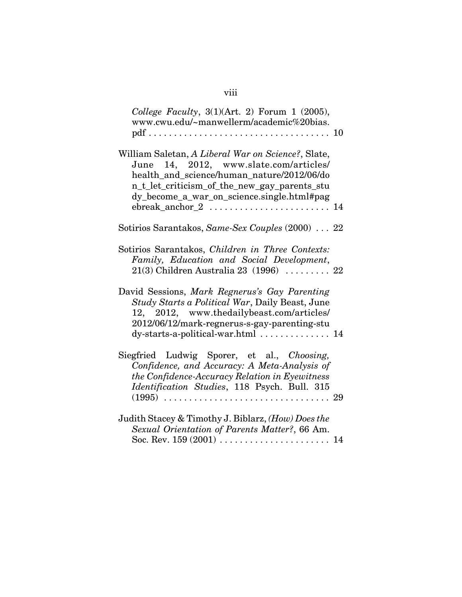| College Faculty, $3(1)(Art. 2)$ Forum 1 (2005),<br>www.cwu.edu/~manwellerm/academic%20bias.                                                                                                                                              |  |
|------------------------------------------------------------------------------------------------------------------------------------------------------------------------------------------------------------------------------------------|--|
| William Saletan, A Liberal War on Science?, Slate,<br>June 14, 2012, www.slate.com/articles/<br>health_and_science/human_nature/2012/06/do<br>n_t_let_criticism_of_the_new_gay_parents_stu<br>dy_become_a_war_on_science.single.html#pag |  |
| Sotirios Sarantakos, Same-Sex Couples (2000) 22                                                                                                                                                                                          |  |
| Sotirios Sarantakos, Children in Three Contexts:<br>Family, Education and Social Development,<br>$21(3)$ Children Australia 23 (1996)  22                                                                                                |  |
| David Sessions, Mark Regnerus's Gay Parenting<br>Study Starts a Political War, Daily Beast, June<br>12, 2012, www.thedailybeast.com/articles/<br>2012/06/12/mark-regnerus-s-gay-parenting-stu<br>dy-starts-a-political-war.html  14      |  |
| Siegfried Ludwig Sporer, et al., Choosing,<br>Confidence, and Accuracy: A Meta-Analysis of<br>the Confidence-Accuracy Relation in Eyewitness<br>Identification Studies, 118 Psych. Bull. 315                                             |  |
| Judith Stacey & Timothy J. Biblarz, (How) Does the<br>Sexual Orientation of Parents Matter?, 66 Am.<br>Soc. Rev. 159 (2001)  14                                                                                                          |  |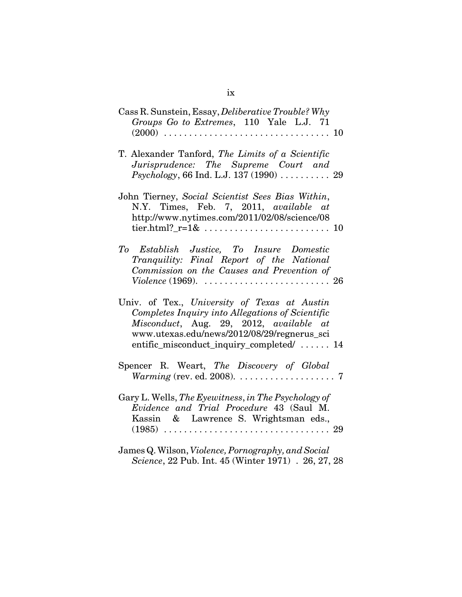| Cass R. Sunstein, Essay, <i>Deliberative Trouble?</i> Why<br>Groups Go to Extremes, 110 Yale L.J. 71                                                                                                                                    |
|-----------------------------------------------------------------------------------------------------------------------------------------------------------------------------------------------------------------------------------------|
| T. Alexander Tanford, The Limits of a Scientific<br>Jurisprudence: The Supreme Court and<br><i>Psychology</i> , 66 Ind. L.J. 137 $(1990)$ 29                                                                                            |
| John Tierney, Social Scientist Sees Bias Within,<br>N.Y. Times, Feb. 7, 2011, available at<br>http://www.nytimes.com/2011/02/08/science/08<br>tier.html?_r= $1\&\ldots\dots\dots\dots\dots\dots\dots\dots\dots$                         |
| To Establish Justice, To Insure Domestic<br>Tranquility: Final Report of the National<br>Commission on the Causes and Prevention of                                                                                                     |
| Univ. of Tex., University of Texas at Austin<br>Completes Inquiry into Allegations of Scientific<br>Misconduct, Aug. 29, 2012, available at<br>www.utexas.edu/news/2012/08/29/regnerus_sci<br>entific_misconduct_inquiry_completed/  14 |
| Spencer R. Weart, The Discovery of Global<br><i>Warming</i> (rev. ed. 2008). $\ldots \ldots \ldots \ldots \ldots \ldots$ 7                                                                                                              |
| Gary L. Wells, The Eyewitness, in The Psychology of<br>Evidence and Trial Procedure 43 (Saul M.<br>Kassin & Lawrence S. Wrightsman eds.,                                                                                                |
| James Q. Wilson, Violence, Pornography, and Social<br>Science, 22 Pub. Int. 45 (Winter 1971) . 26, 27, 28                                                                                                                               |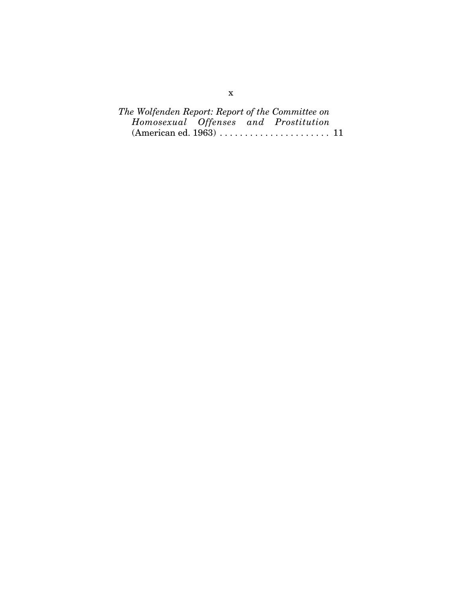|  |  | The Wolfenden Report: Report of the Committee on                   |  |
|--|--|--------------------------------------------------------------------|--|
|  |  | Homosexual Offenses and Prostitution                               |  |
|  |  | $(American ed. 1963) \ldots \ldots \ldots \ldots \ldots \ldots 11$ |  |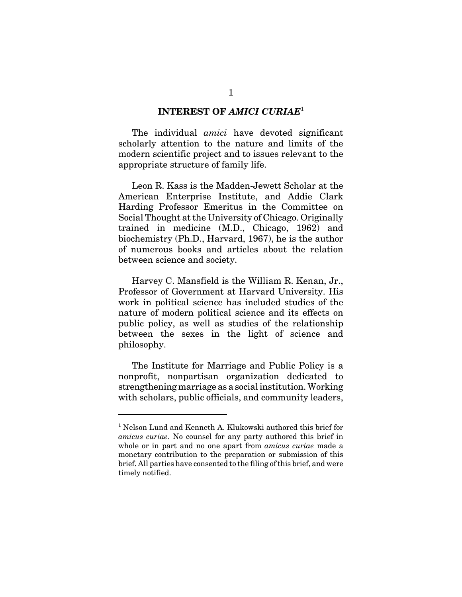#### **INTEREST OF** *AMICI CURIAE*<sup>1</sup>

The individual *amici* have devoted significant scholarly attention to the nature and limits of the modern scientific project and to issues relevant to the appropriate structure of family life.

Leon R. Kass is the Madden-Jewett Scholar at the American Enterprise Institute, and Addie Clark Harding Professor Emeritus in the Committee on Social Thought at the University of Chicago. Originally trained in medicine (M.D., Chicago, 1962) and biochemistry (Ph.D., Harvard, 1967), he is the author of numerous books and articles about the relation between science and society.

Harvey C. Mansfield is the William R. Kenan, Jr., Professor of Government at Harvard University. His work in political science has included studies of the nature of modern political science and its effects on public policy, as well as studies of the relationship between the sexes in the light of science and philosophy.

The Institute for Marriage and Public Policy is a nonprofit, nonpartisan organization dedicated to strengthening marriage as a social institution. Working with scholars, public officials, and community leaders,

<sup>&</sup>lt;sup>1</sup> Nelson Lund and Kenneth A. Klukowski authored this brief for *amicus curiae*. No counsel for any party authored this brief in whole or in part and no one apart from *amicus curiae* made a monetary contribution to the preparation or submission of this brief. All parties have consented to the filing of this brief, and were timely notified.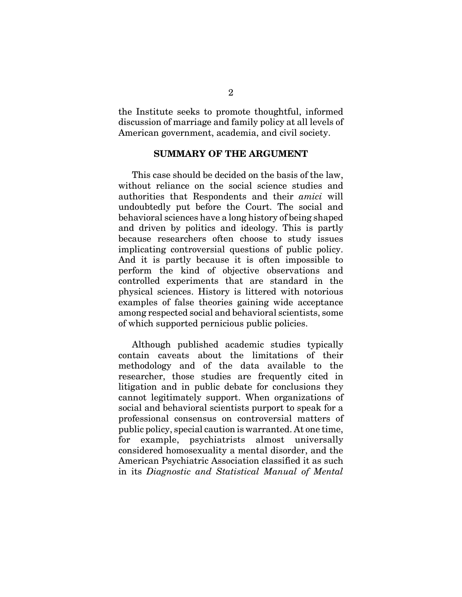the Institute seeks to promote thoughtful, informed discussion of marriage and family policy at all levels of American government, academia, and civil society.

#### **SUMMARY OF THE ARGUMENT**

This case should be decided on the basis of the law, without reliance on the social science studies and authorities that Respondents and their *amici* will undoubtedly put before the Court. The social and behavioral sciences have a long history of being shaped and driven by politics and ideology. This is partly because researchers often choose to study issues implicating controversial questions of public policy. And it is partly because it is often impossible to perform the kind of objective observations and controlled experiments that are standard in the physical sciences. History is littered with notorious examples of false theories gaining wide acceptance among respected social and behavioral scientists, some of which supported pernicious public policies.

Although published academic studies typically contain caveats about the limitations of their methodology and of the data available to the researcher, those studies are frequently cited in litigation and in public debate for conclusions they cannot legitimately support. When organizations of social and behavioral scientists purport to speak for a professional consensus on controversial matters of public policy, special caution is warranted. At one time, for example, psychiatrists almost universally considered homosexuality a mental disorder, and the American Psychiatric Association classified it as such in its *Diagnostic and Statistical Manual of Mental*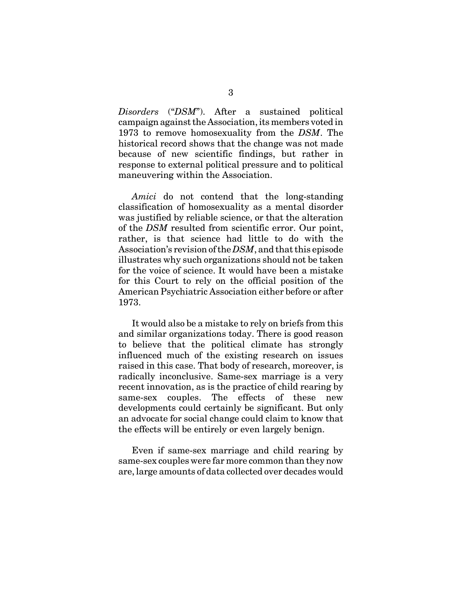*Disorders* ("*DSM*"). After a sustained political campaign against the Association, its members voted in 1973 to remove homosexuality from the *DSM*. The historical record shows that the change was not made because of new scientific findings, but rather in response to external political pressure and to political maneuvering within the Association.

*Amici* do not contend that the long-standing classification of homosexuality as a mental disorder was justified by reliable science, or that the alteration of the *DSM* resulted from scientific error. Our point, rather, is that science had little to do with the Association's revision of the *DSM*, and that this episode illustrates why such organizations should not be taken for the voice of science. It would have been a mistake for this Court to rely on the official position of the American Psychiatric Association either before or after 1973.

It would also be a mistake to rely on briefs from this and similar organizations today. There is good reason to believe that the political climate has strongly influenced much of the existing research on issues raised in this case. That body of research, moreover, is radically inconclusive. Same-sex marriage is a very recent innovation, as is the practice of child rearing by same-sex couples. The effects of these new developments could certainly be significant. But only an advocate for social change could claim to know that the effects will be entirely or even largely benign.

Even if same-sex marriage and child rearing by same-sex couples were far more common than they now are, large amounts of data collected over decades would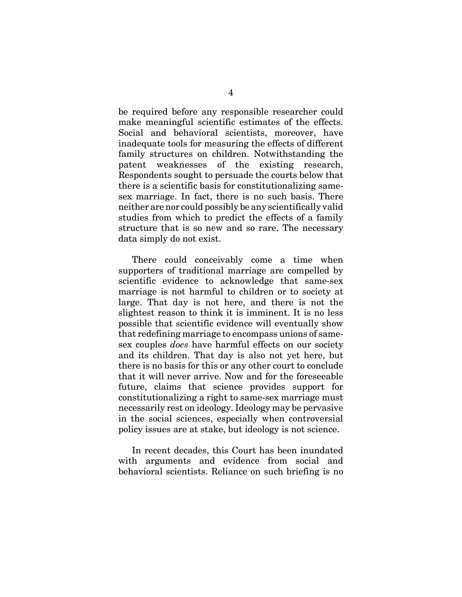be required before any responsible researcher could make meaningful scientific estimates of the effects. Social and behavioral scientists, moreover, have inadequate tools for measuring the effects of different family structures on children. Notwithstanding the patent weaknesses of the existing research, Respondents sought to persuade the courts below that there is a scientific basis for constitutionalizing samesex marriage. In fact, there is no such basis. There neither are nor could possibly be any scientifically valid studies from which to predict the effects of a family structure that is so new and so rare. The necessary data simply do not exist.

There could conceivably come a time when supporters of traditional marriage are compelled by scientific evidence to acknowledge that same-sex marriage is not harmful to children or to society at large. That day is not here, and there is not the slightest reason to think it is imminent. It is no less possible that scientific evidence will eventually show that redefining marriage to encompass unions of samesex couples *does* have harmful effects on our society and its children. That day is also not yet here, but there is no basis for this or any other court to conclude that it will never arrive. Now and for the foreseeable future, claims that science provides support for constitutionalizing a right to same-sex marriage must necessarily rest on ideology. Ideology may be pervasive in the social sciences, especially when controversial policy issues are at stake, but ideology is not science.

In recent decades, this Court has been inundated with arguments and evidence from social and behavioral scientists. Reliance on such briefing is no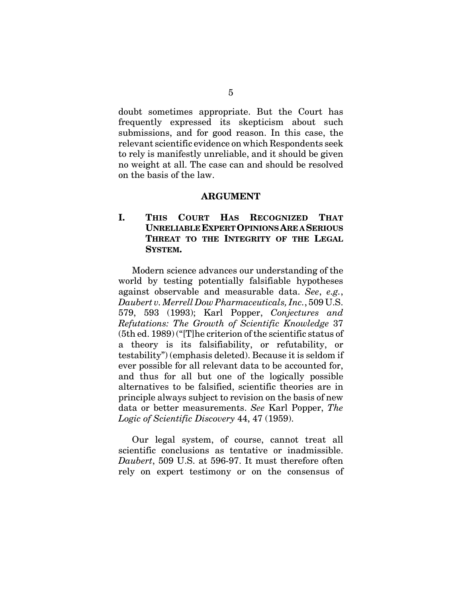doubt sometimes appropriate. But the Court has frequently expressed its skepticism about such submissions, and for good reason. In this case, the relevant scientific evidence on which Respondents seek to rely is manifestly unreliable, and it should be given no weight at all. The case can and should be resolved on the basis of the law.

#### **ARGUMENT**

#### **I. THIS COURT HAS RECOGNIZED THAT UNRELIABLE EXPERT OPINIONS ARE A SERIOUS THREAT TO THE INTEGRITY OF THE LEGAL SYSTEM.**

Modern science advances our understanding of the world by testing potentially falsifiable hypotheses against observable and measurable data. *See*, *e.g.*, *Daubert v. Merrell Dow Pharmaceuticals, Inc.*, 509 U.S. 579, 593 (1993); Karl Popper, *Conjectures and Refutations: The Growth of Scientific Knowledge* 37 (5th ed. 1989) ("[T]he criterion of the scientific status of a theory is its falsifiability, or refutability, or testability") (emphasis deleted). Because it is seldom if ever possible for all relevant data to be accounted for, and thus for all but one of the logically possible alternatives to be falsified, scientific theories are in principle always subject to revision on the basis of new data or better measurements. *See* Karl Popper, *The Logic of Scientific Discovery* 44, 47 (1959).

Our legal system, of course, cannot treat all scientific conclusions as tentative or inadmissible. *Daubert*, 509 U.S. at 596-97. It must therefore often rely on expert testimony or on the consensus of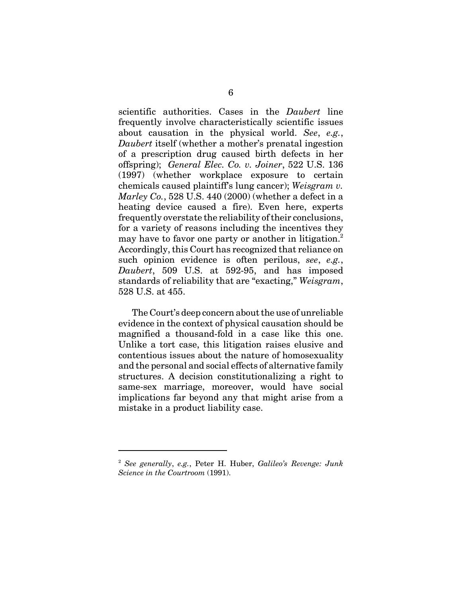scientific authorities. Cases in the *Daubert* line frequently involve characteristically scientific issues about causation in the physical world. *See*, *e.g.*, *Daubert* itself (whether a mother's prenatal ingestion of a prescription drug caused birth defects in her offspring); *General Elec. Co. v. Joiner*, 522 U.S. 136 (1997) (whether workplace exposure to certain chemicals caused plaintiff's lung cancer); *Weisgram v. Marley Co.*, 528 U.S. 440 (2000) (whether a defect in a heating device caused a fire). Even here, experts frequently overstate the reliability of their conclusions, for a variety of reasons including the incentives they may have to favor one party or another in litigation.<sup>2</sup> Accordingly, this Court has recognized that reliance on such opinion evidence is often perilous, *see*, *e.g.*, *Daubert*, 509 U.S. at 592-95, and has imposed standards of reliability that are "exacting," *Weisgram*, 528 U.S. at 455.

The Court's deep concern about the use of unreliable evidence in the context of physical causation should be magnified a thousand-fold in a case like this one. Unlike a tort case, this litigation raises elusive and contentious issues about the nature of homosexuality and the personal and social effects of alternative family structures. A decision constitutionalizing a right to same-sex marriage, moreover, would have social implications far beyond any that might arise from a mistake in a product liability case.

<sup>2</sup> *See generally*, *e.g.*, Peter H. Huber, *Galileo's Revenge: Junk Science in the Courtroom* (1991).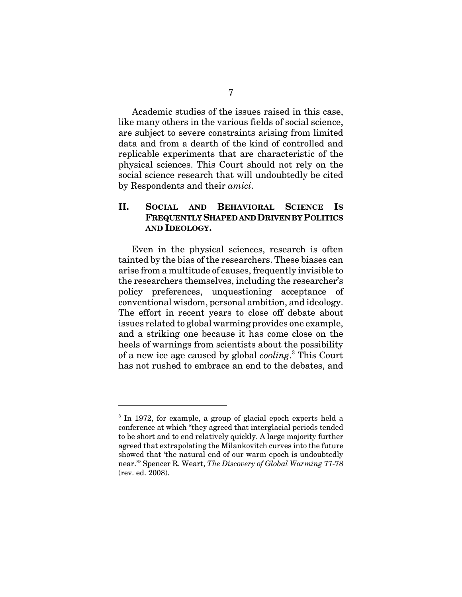Academic studies of the issues raised in this case, like many others in the various fields of social science, are subject to severe constraints arising from limited data and from a dearth of the kind of controlled and replicable experiments that are characteristic of the physical sciences. This Court should not rely on the social science research that will undoubtedly be cited by Respondents and their *amici*.

#### **II. SOCIAL AND BEHAVIORAL SCIENCE IS FREQUENTLY SHAPED AND DRIVEN BY POLITICS AND IDEOLOGY.**

Even in the physical sciences, research is often tainted by the bias of the researchers. These biases can arise from a multitude of causes, frequently invisible to the researchers themselves, including the researcher's policy preferences, unquestioning acceptance of conventional wisdom, personal ambition, and ideology. The effort in recent years to close off debate about issues related to global warming provides one example, and a striking one because it has come close on the heels of warnings from scientists about the possibility of a new ice age caused by global *cooling*. 3 This Court has not rushed to embrace an end to the debates, and

<sup>&</sup>lt;sup>3</sup> In 1972, for example, a group of glacial epoch experts held a conference at which "they agreed that interglacial periods tended to be short and to end relatively quickly. A large majority further agreed that extrapolating the Milankovitch curves into the future showed that 'the natural end of our warm epoch is undoubtedly near.'" Spencer R. Weart, *The Discovery of Global Warming* 77-78 (rev. ed. 2008).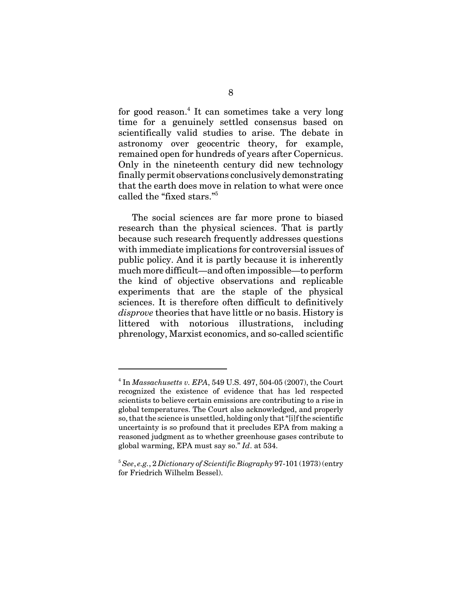for good reason.<sup>4</sup> It can sometimes take a very long time for a genuinely settled consensus based on scientifically valid studies to arise. The debate in astronomy over geocentric theory, for example, remained open for hundreds of years after Copernicus. Only in the nineteenth century did new technology finally permit observations conclusively demonstrating that the earth does move in relation to what were once called the "fixed stars."5

The social sciences are far more prone to biased research than the physical sciences. That is partly because such research frequently addresses questions with immediate implications for controversial issues of public policy. And it is partly because it is inherently much more difficult—and often impossible—to perform the kind of objective observations and replicable experiments that are the staple of the physical sciences. It is therefore often difficult to definitively *disprove* theories that have little or no basis. History is littered with notorious illustrations, including phrenology, Marxist economics, and so-called scientific

<sup>4</sup> In *Massachusetts v. EPA*, 549 U.S. 497, 504-05 (2007), the Court recognized the existence of evidence that has led respected scientists to believe certain emissions are contributing to a rise in global temperatures. The Court also acknowledged, and properly so, that the science is unsettled, holding only that "[i]f the scientific uncertainty is so profound that it precludes EPA from making a reasoned judgment as to whether greenhouse gases contribute to global warming, EPA must say so." *Id*. at 534.

<sup>5</sup> *See*, *e.g.*, 2 *Dictionary of Scientific Biography* 97-101 (1973) (entry for Friedrich Wilhelm Bessel).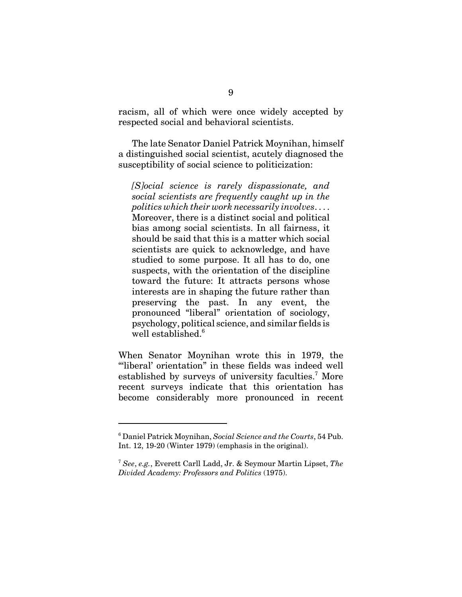racism, all of which were once widely accepted by respected social and behavioral scientists.

The late Senator Daniel Patrick Moynihan, himself a distinguished social scientist, acutely diagnosed the susceptibility of social science to politicization:

*[S]ocial science is rarely dispassionate, and social scientists are frequently caught up in the politics which their work necessarily involves*. . . . Moreover, there is a distinct social and political bias among social scientists. In all fairness, it should be said that this is a matter which social scientists are quick to acknowledge, and have studied to some purpose. It all has to do, one suspects, with the orientation of the discipline toward the future: It attracts persons whose interests are in shaping the future rather than preserving the past. In any event, the pronounced "liberal" orientation of sociology, psychology, political science, and similar fields is well established.<sup>6</sup>

When Senator Moynihan wrote this in 1979, the "liberal' orientation" in these fields was indeed well established by surveys of university faculties.<sup>7</sup> More recent surveys indicate that this orientation has become considerably more pronounced in recent

<sup>6</sup> Daniel Patrick Moynihan, *Social Science and the Courts*, 54 Pub. Int. 12, 19-20 (Winter 1979) (emphasis in the original).

<sup>7</sup> *See*, *e.g.*, Everett Carll Ladd, Jr. & Seymour Martin Lipset, *The Divided Academy: Professors and Politics* (1975).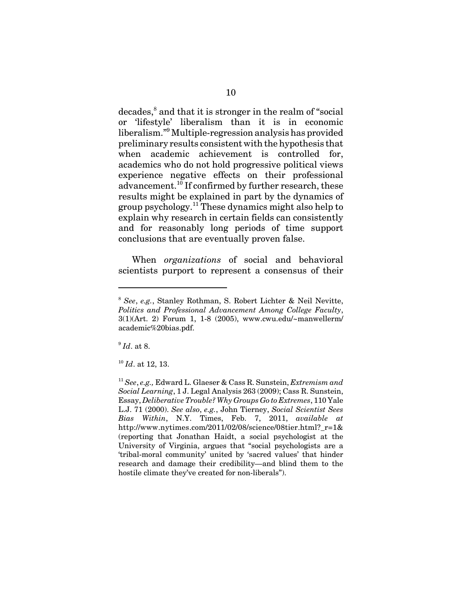decades,<sup>8</sup> and that it is stronger in the realm of "social or 'lifestyle' liberalism than it is in economic liberalism."<sup>9</sup> Multiple-regression analysis has provided preliminary results consistent with the hypothesis that when academic achievement is controlled for, academics who do not hold progressive political views experience negative effects on their professional advancement.<sup>10</sup> If confirmed by further research, these results might be explained in part by the dynamics of group psychology.11 These dynamics might also help to explain why research in certain fields can consistently and for reasonably long periods of time support conclusions that are eventually proven false.

When *organizations* of social and behavioral scientists purport to represent a consensus of their

<sup>9</sup> *Id*. at 8.

<sup>10</sup> *Id*. at 12, 13.

<sup>8</sup> *See*, *e.g.*, Stanley Rothman, S. Robert Lichter & Neil Nevitte, *Politics and Professional Advancement Among College Faculty*, 3(1)(Art. 2) Forum 1, 1-8 (2005), www.cwu.edu/~manwellerm/ academic%20bias.pdf.

<sup>11</sup> *See*, *e.g.,* Edward L. Glaeser & Cass R. Sunstein, *Extremism and Social Learning*, 1 J. Legal Analysis 263 (2009); Cass R. Sunstein, Essay, *Deliberative Trouble? Why Groups Go to Extremes*, 110 Yale L.J. 71 (2000). *See also*, *e.g.*, John Tierney, *Social Scientist Sees Bias Within*, N.Y. Times, Feb. 7, 2011, *available at* http://www.nytimes.com/2011/02/08/science/08tier.html?\_r=1& (reporting that Jonathan Haidt, a social psychologist at the University of Virginia, argues that "social psychologists are a 'tribal-moral community' united by 'sacred values' that hinder research and damage their credibility—and blind them to the hostile climate they've created for non-liberals").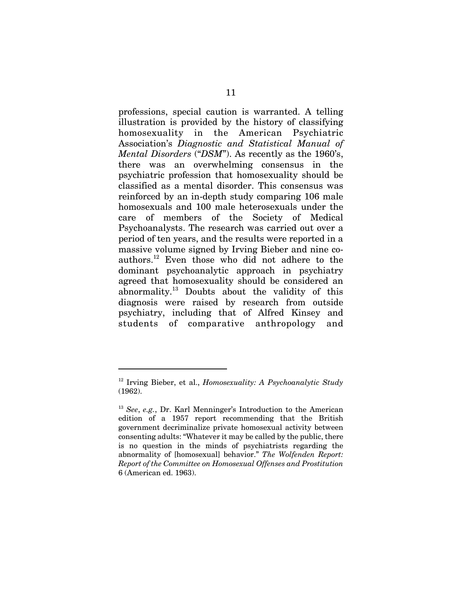professions, special caution is warranted. A telling illustration is provided by the history of classifying homosexuality in the American Psychiatric Association's *Diagnostic and Statistical Manual of Mental Disorders* ("*DSM*"). As recently as the 1960's, there was an overwhelming consensus in the psychiatric profession that homosexuality should be classified as a mental disorder. This consensus was reinforced by an in-depth study comparing 106 male homosexuals and 100 male heterosexuals under the care of members of the Society of Medical Psychoanalysts. The research was carried out over a period of ten years, and the results were reported in a massive volume signed by Irving Bieber and nine coauthors.12 Even those who did not adhere to the dominant psychoanalytic approach in psychiatry agreed that homosexuality should be considered an abnormality. $^{13}$  Doubts about the validity of this diagnosis were raised by research from outside psychiatry, including that of Alfred Kinsey and students of comparative anthropology and

<sup>12</sup> Irving Bieber, et al., *Homosexuality: A Psychoanalytic Study* (1962).

<sup>13</sup> *See*, *e.g.*, Dr. Karl Menninger's Introduction to the American edition of a 1957 report recommending that the British government decriminalize private homosexual activity between consenting adults: "Whatever it may be called by the public, there is no question in the minds of psychiatrists regarding the abnormality of [homosexual] behavior." *The Wolfenden Report: Report of the Committee on Homosexual Offenses and Prostitution* 6 (American ed. 1963).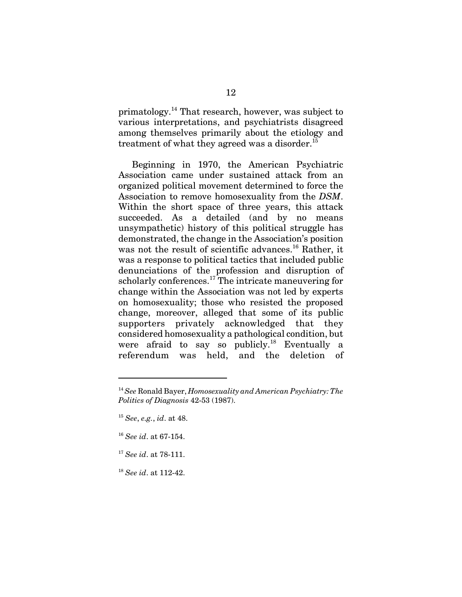primatology.14 That research, however, was subject to various interpretations, and psychiatrists disagreed among themselves primarily about the etiology and treatment of what they agreed was a disorder.<sup>15</sup>

Beginning in 1970, the American Psychiatric Association came under sustained attack from an organized political movement determined to force the Association to remove homosexuality from the *DSM*. Within the short space of three years, this attack succeeded. As a detailed (and by no means unsympathetic) history of this political struggle has demonstrated, the change in the Association's position was not the result of scientific advances.<sup>16</sup> Rather, it was a response to political tactics that included public denunciations of the profession and disruption of scholarly conferences.<sup>17</sup> The intricate maneuvering for change within the Association was not led by experts on homosexuality; those who resisted the proposed change, moreover, alleged that some of its public supporters privately acknowledged that they considered homosexuality a pathological condition, but were afraid to say so publicly.<sup>18</sup> Eventually a referendum was held, and the deletion of

<sup>17</sup> *See id*. at 78-111.

<sup>14</sup> *See* Ronald Bayer, *Homosexuality and American Psychiatry: The Politics of Diagnosis* 42-53 (1987).

<sup>15</sup> *See*, *e.g.*, *id*. at 48.

<sup>16</sup> *See id*. at 67-154.

<sup>18</sup> *See id*. at 112-42.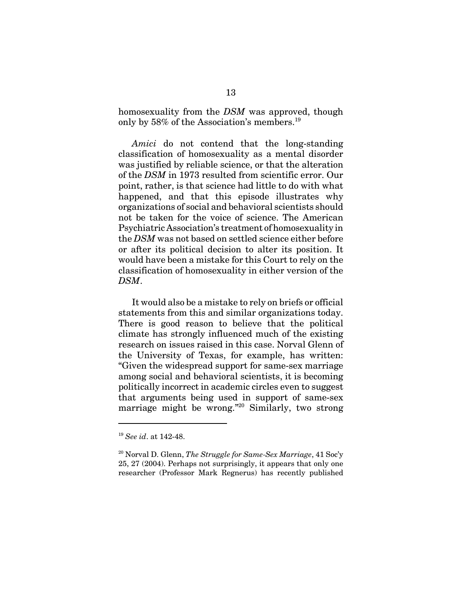homosexuality from the *DSM* was approved, though only by 58% of the Association's members.<sup>19</sup>

*Amici* do not contend that the long-standing classification of homosexuality as a mental disorder was justified by reliable science, or that the alteration of the *DSM* in 1973 resulted from scientific error. Our point, rather, is that science had little to do with what happened, and that this episode illustrates why organizations of social and behavioral scientists should not be taken for the voice of science. The American Psychiatric Association's treatment of homosexuality in the *DSM* was not based on settled science either before or after its political decision to alter its position. It would have been a mistake for this Court to rely on the classification of homosexuality in either version of the *DSM*.

It would also be a mistake to rely on briefs or official statements from this and similar organizations today. There is good reason to believe that the political climate has strongly influenced much of the existing research on issues raised in this case. Norval Glenn of the University of Texas, for example, has written: "Given the widespread support for same-sex marriage among social and behavioral scientists, it is becoming politically incorrect in academic circles even to suggest that arguments being used in support of same-sex marriage might be wrong."<sup>20</sup> Similarly, two strong

<sup>19</sup> *See id*. at 142-48.

<sup>20</sup> Norval D. Glenn, *The Struggle for Same-Sex Marriage*, 41 Soc'y 25, 27 (2004). Perhaps not surprisingly, it appears that only one researcher (Professor Mark Regnerus) has recently published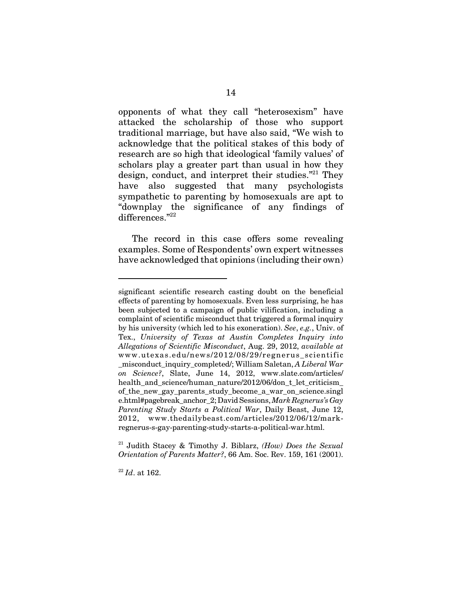opponents of what they call "heterosexism" have attacked the scholarship of those who support traditional marriage, but have also said, "We wish to acknowledge that the political stakes of this body of research are so high that ideological 'family values' of scholars play a greater part than usual in how they design, conduct, and interpret their studies."<sup>21</sup> They have also suggested that many psychologists sympathetic to parenting by homosexuals are apt to "downplay the significance of any findings of differences."22

The record in this case offers some revealing examples. Some of Respondents' own expert witnesses have acknowledged that opinions (including their own)

21 Judith Stacey & Timothy J. Biblarz, *(How) Does the Sexual Orientation of Parents Matter?*, 66 Am. Soc. Rev. 159, 161 (2001).

<sup>22</sup> *Id*. at 162.

significant scientific research casting doubt on the beneficial effects of parenting by homosexuals. Even less surprising, he has been subjected to a campaign of public vilification, including a complaint of scientific misconduct that triggered a formal inquiry by his university (which led to his exoneration). *See*, *e.g.*, Univ. of Tex., *University of Texas at Austin Completes Inquiry into Allegations of Scientific Misconduct*, Aug. 29, 2012, *available at* www.utexas.edu/news/2012/08/29/regnerus\_scientific \_misconduct\_inquiry\_completed/; William Saletan, *A Liberal War on Science?*, Slate, June 14, 2012, www.slate.com/articles/ health\_and\_science/human\_nature/2012/06/don\_t\_let\_criticism of the new gay parents study become a war on science.singl e.html#pagebreak\_anchor\_2; David Sessions, *Mark Regnerus's Gay Parenting Study Starts a Political War*, Daily Beast, June 12, 2012, www.thedailybeast.com/articles/2012/06/12/markregnerus-s-gay-parenting-study-starts-a-political-war.html.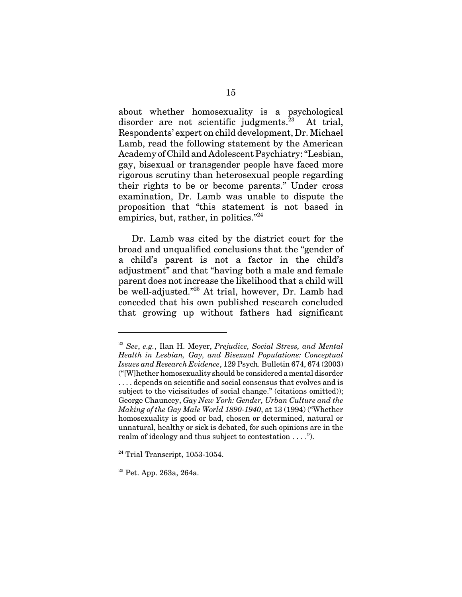about whether homosexuality is a psychological disorder are not scientific judgments.<sup>23</sup> At trial, Respondents' expert on child development, Dr. Michael Lamb, read the following statement by the American Academy of Child and Adolescent Psychiatry: "Lesbian, gay, bisexual or transgender people have faced more rigorous scrutiny than heterosexual people regarding their rights to be or become parents." Under cross examination, Dr. Lamb was unable to dispute the proposition that "this statement is not based in empirics, but, rather, in politics."<sup>24</sup>

Dr. Lamb was cited by the district court for the broad and unqualified conclusions that the "gender of a child's parent is not a factor in the child's adjustment" and that "having both a male and female parent does not increase the likelihood that a child will be well-adjusted."<sup>25</sup> At trial, however, Dr. Lamb had conceded that his own published research concluded that growing up without fathers had significant

<sup>23</sup> *See*, *e.g.*, Ilan H. Meyer, *Prejudice, Social Stress, and Mental Health in Lesbian, Gay, and Bisexual Populations: Conceptual Issues and Research Evidence*, 129 Psych. Bulletin 674, 674 (2003) ("[W]hether homosexuality should be considered a mental disorder . . . . depends on scientific and social consensus that evolves and is subject to the vicissitudes of social change." (citations omitted)); George Chauncey, *Gay New York: Gender, Urban Culture and the Making of the Gay Male World 1890-1940*, at 13 (1994) ("Whether homosexuality is good or bad, chosen or determined, natural or unnatural, healthy or sick is debated, for such opinions are in the realm of ideology and thus subject to contestation . . . .").

 $24$  Trial Transcript, 1053-1054.

 $25$  Pet. App. 263a, 264a.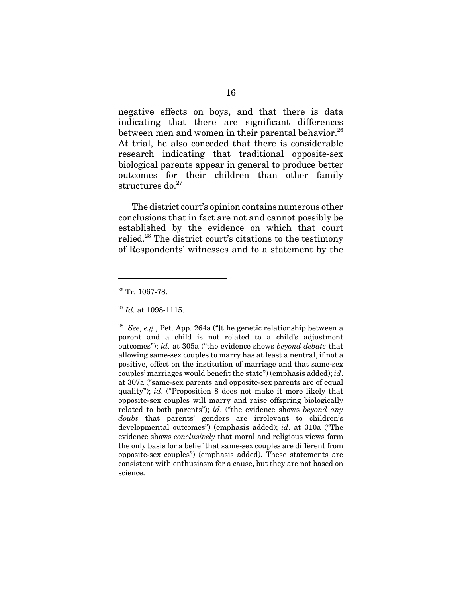negative effects on boys, and that there is data indicating that there are significant differences between men and women in their parental behavior.<sup>26</sup> At trial, he also conceded that there is considerable research indicating that traditional opposite-sex biological parents appear in general to produce better outcomes for their children than other family structures do.<sup>27</sup>

The district court's opinion contains numerous other conclusions that in fact are not and cannot possibly be established by the evidence on which that court relied.<sup>28</sup> The district court's citations to the testimony of Respondents' witnesses and to a statement by the

28 *See*, *e.g.*, Pet. App. 264a ("[t]he genetic relationship between a parent and a child is not related to a child's adjustment outcomes"); *id*. at 305a ("the evidence shows *beyond debate* that allowing same-sex couples to marry has at least a neutral, if not a positive, effect on the institution of marriage and that same-sex couples' marriages would benefit the state") (emphasis added); *id*. at 307a ("same-sex parents and opposite-sex parents are of equal quality"); *id*. ("Proposition 8 does not make it more likely that opposite-sex couples will marry and raise offspring biologically related to both parents"); *id*. ("the evidence shows *beyond any doubt* that parents' genders are irrelevant to children's developmental outcomes") (emphasis added); *id*. at 310a ("The evidence shows *conclusively* that moral and religious views form the only basis for a belief that same-sex couples are different from opposite-sex couples") (emphasis added). These statements are consistent with enthusiasm for a cause, but they are not based on science.

 $26$  Tr. 1067-78.

<sup>27</sup> *Id.* at 1098-1115.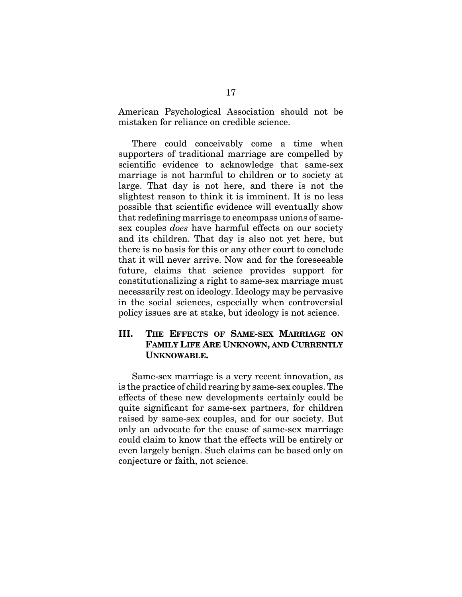American Psychological Association should not be mistaken for reliance on credible science.

There could conceivably come a time when supporters of traditional marriage are compelled by scientific evidence to acknowledge that same-sex marriage is not harmful to children or to society at large. That day is not here, and there is not the slightest reason to think it is imminent. It is no less possible that scientific evidence will eventually show that redefining marriage to encompass unions of samesex couples *does* have harmful effects on our society and its children. That day is also not yet here, but there is no basis for this or any other court to conclude that it will never arrive. Now and for the foreseeable future, claims that science provides support for constitutionalizing a right to same-sex marriage must necessarily rest on ideology. Ideology may be pervasive in the social sciences, especially when controversial policy issues are at stake, but ideology is not science.

#### **III. THE EFFECTS OF SAME-SEX MARRIAGE ON FAMILY LIFE ARE UNKNOWN, AND CURRENTLY UNKNOWABLE.**

Same-sex marriage is a very recent innovation, as is the practice of child rearing by same-sex couples. The effects of these new developments certainly could be quite significant for same-sex partners, for children raised by same-sex couples, and for our society. But only an advocate for the cause of same-sex marriage could claim to know that the effects will be entirely or even largely benign. Such claims can be based only on conjecture or faith, not science.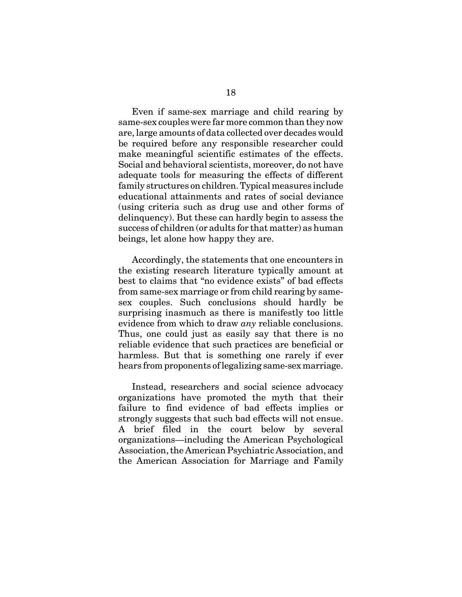Even if same-sex marriage and child rearing by same-sex couples were far more common than they now are, large amounts of data collected over decades would be required before any responsible researcher could make meaningful scientific estimates of the effects. Social and behavioral scientists, moreover, do not have adequate tools for measuring the effects of different family structures on children. Typical measures include educational attainments and rates of social deviance (using criteria such as drug use and other forms of delinquency). But these can hardly begin to assess the success of children (or adults for that matter) as human beings, let alone how happy they are.

Accordingly, the statements that one encounters in the existing research literature typically amount at best to claims that "no evidence exists" of bad effects from same-sex marriage or from child rearing by samesex couples. Such conclusions should hardly be surprising inasmuch as there is manifestly too little evidence from which to draw *any* reliable conclusions. Thus, one could just as easily say that there is no reliable evidence that such practices are beneficial or harmless. But that is something one rarely if ever hears from proponents of legalizing same-sex marriage.

Instead, researchers and social science advocacy organizations have promoted the myth that their failure to find evidence of bad effects implies or strongly suggests that such bad effects will not ensue. A brief filed in the court below by several organizations—including the American Psychological Association, the American Psychiatric Association, and the American Association for Marriage and Family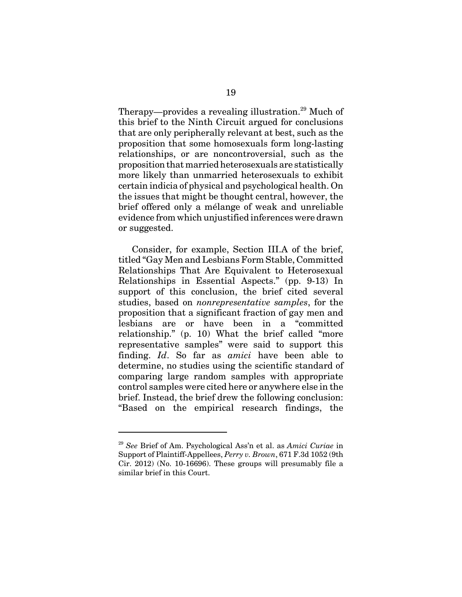Therapy—provides a revealing illustration.<sup>29</sup> Much of this brief to the Ninth Circuit argued for conclusions that are only peripherally relevant at best, such as the proposition that some homosexuals form long-lasting relationships, or are noncontroversial, such as the proposition that married heterosexuals are statistically more likely than unmarried heterosexuals to exhibit certain indicia of physical and psychological health. On the issues that might be thought central, however, the brief offered only a mélange of weak and unreliable evidence from which unjustified inferences were drawn or suggested.

Consider, for example, Section III.A of the brief, titled "Gay Men and Lesbians Form Stable, Committed Relationships That Are Equivalent to Heterosexual Relationships in Essential Aspects." (pp. 9-13) In support of this conclusion, the brief cited several studies, based on *nonrepresentative samples*, for the proposition that a significant fraction of gay men and lesbians are or have been in a "committed relationship." (p. 10) What the brief called "more representative samples" were said to support this finding. *Id*. So far as *amici* have been able to determine, no studies using the scientific standard of comparing large random samples with appropriate control samples were cited here or anywhere else in the brief. Instead, the brief drew the following conclusion: "Based on the empirical research findings, the

<sup>29</sup> *See* Brief of Am. Psychological Ass'n et al. as *Amici Curiae* in Support of Plaintiff-Appellees, *Perry v. Brown*, 671 F.3d 1052 (9th Cir. 2012) (No. 10-16696). These groups will presumably file a similar brief in this Court.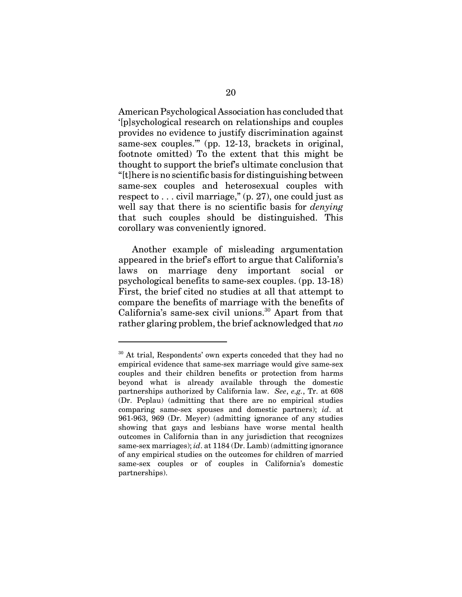American Psychological Association has concluded that '[p]sychological research on relationships and couples provides no evidence to justify discrimination against same-sex couples."" (pp. 12-13, brackets in original, footnote omitted) To the extent that this might be thought to support the brief's ultimate conclusion that "[t]here is no scientific basis for distinguishing between same-sex couples and heterosexual couples with respect to  $\ldots$  civil marriage," (p. 27), one could just as well say that there is no scientific basis for *denying* that such couples should be distinguished. This corollary was conveniently ignored.

Another example of misleading argumentation appeared in the brief's effort to argue that California's laws on marriage deny important social or psychological benefits to same-sex couples. (pp. 13-18) First, the brief cited no studies at all that attempt to compare the benefits of marriage with the benefits of California's same-sex civil unions.<sup>30</sup> Apart from that rather glaring problem, the brief acknowledged that *no*

<sup>&</sup>lt;sup>30</sup> At trial, Respondents' own experts conceded that they had no empirical evidence that same-sex marriage would give same-sex couples and their children benefits or protection from harms beyond what is already available through the domestic partnerships authorized by California law. *See*, *e.g.*, Tr. at 608 (Dr. Peplau) (admitting that there are no empirical studies comparing same-sex spouses and domestic partners); *id*. at 961-963, 969 (Dr. Meyer) (admitting ignorance of any studies showing that gays and lesbians have worse mental health outcomes in California than in any jurisdiction that recognizes same-sex marriages); *id*. at 1184 (Dr. Lamb) (admitting ignorance of any empirical studies on the outcomes for children of married same-sex couples or of couples in California's domestic partnerships).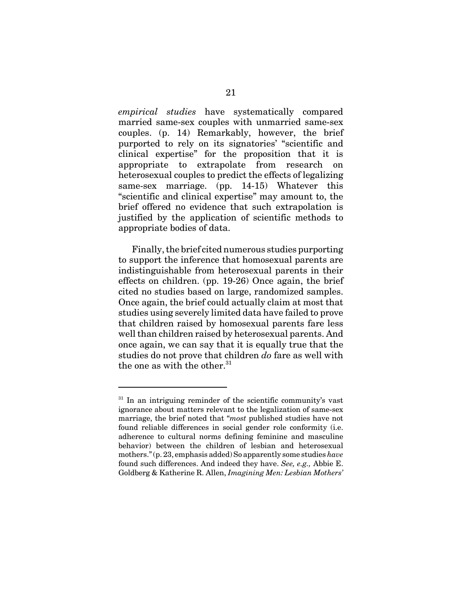*empirical studies* have systematically compared married same-sex couples with unmarried same-sex couples. (p. 14) Remarkably, however, the brief purported to rely on its signatories' "scientific and clinical expertise" for the proposition that it is appropriate to extrapolate from research on heterosexual couples to predict the effects of legalizing same-sex marriage. (pp. 14-15) Whatever this "scientific and clinical expertise" may amount to, the brief offered no evidence that such extrapolation is justified by the application of scientific methods to appropriate bodies of data.

Finally, the brief cited numerous studies purporting to support the inference that homosexual parents are indistinguishable from heterosexual parents in their effects on children. (pp. 19-26) Once again, the brief cited no studies based on large, randomized samples. Once again, the brief could actually claim at most that studies using severely limited data have failed to prove that children raised by homosexual parents fare less well than children raised by heterosexual parents. And once again, we can say that it is equally true that the studies do not prove that children *do* fare as well with the one as with the other. $31$ 

 $31$  In an intriguing reminder of the scientific community's vast ignorance about matters relevant to the legalization of same-sex marriage, the brief noted that "*most* published studies have not found reliable differences in social gender role conformity (i.e. adherence to cultural norms defining feminine and masculine behavior) between the children of lesbian and heterosexual mothers." (p. 23, emphasis added) So apparently some studies *have* found such differences. And indeed they have. *See, e.g.,* Abbie E. Goldberg & Katherine R. Allen, *Imagining Men: Lesbian Mothers'*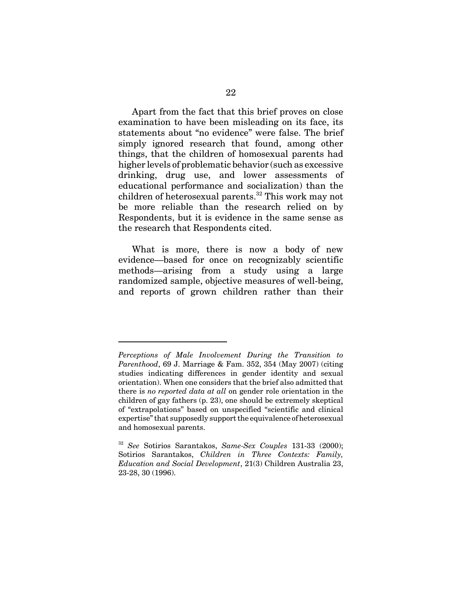Apart from the fact that this brief proves on close examination to have been misleading on its face, its statements about "no evidence" were false. The brief simply ignored research that found, among other things, that the children of homosexual parents had higher levels of problematic behavior (such as excessive drinking, drug use, and lower assessments of educational performance and socialization) than the children of heterosexual parents.<sup>32</sup> This work may not be more reliable than the research relied on by Respondents, but it is evidence in the same sense as the research that Respondents cited.

What is more, there is now a body of new evidence—based for once on recognizably scientific methods—arising from a study using a large randomized sample, objective measures of well-being, and reports of grown children rather than their

*Perceptions of Male Involvement During the Transition to Parenthood*, 69 J. Marriage & Fam. 352, 354 (May 2007) (citing studies indicating differences in gender identity and sexual orientation). When one considers that the brief also admitted that there is *no reported data at all* on gender role orientation in the children of gay fathers (p. 23), one should be extremely skeptical of "extrapolations" based on unspecified "scientific and clinical expertise" that supposedly support the equivalence of heterosexual and homosexual parents.

<sup>32</sup> *See* Sotirios Sarantakos, *Same-Sex Couples* 131-33 (2000); Sotirios Sarantakos, *Children in Three Contexts: Family, Education and Social Development*, 21(3) Children Australia 23, 23-28, 30 (1996).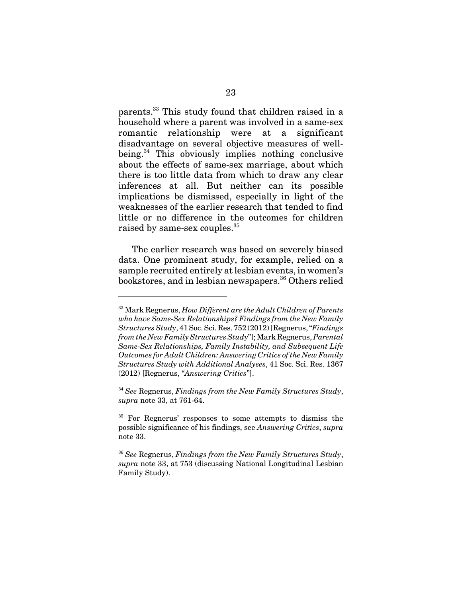parents.33 This study found that children raised in a household where a parent was involved in a same-sex romantic relationship were at a significant disadvantage on several objective measures of wellbeing.<sup>34</sup> This obviously implies nothing conclusive about the effects of same-sex marriage, about which there is too little data from which to draw any clear inferences at all. But neither can its possible implications be dismissed, especially in light of the weaknesses of the earlier research that tended to find little or no difference in the outcomes for children raised by same-sex couples.<sup>35</sup>

The earlier research was based on severely biased data. One prominent study, for example, relied on a sample recruited entirely at lesbian events, in women's bookstores, and in lesbian newspapers.<sup>36</sup> Others relied

<sup>33</sup> Mark Regnerus, *How Different are the Adult Children of Parents who have Same-Sex Relationships? Findings from the New Family Structures Study*, 41 Soc. Sci. Res. 752 (2012) [Regnerus, "*Findings from the New Family Structures Study*"]; Mark Regnerus, *Parental Same-Sex Relationships, Family Instability, and Subsequent Life Outcomes for Adult Children: Answering Critics of the New Family Structures Study with Additional Analyses*, 41 Soc. Sci. Res. 1367 (2012) [Regnerus, "*Answering Critics*"].

<sup>34</sup> *See* Regnerus, *Findings from the New Family Structures Study*, *supra* note 33, at 761-64.

<sup>35</sup> For Regnerus' responses to some attempts to dismiss the possible significance of his findings, see *Answering Critics*, *supra* note 33.

<sup>36</sup> *See* Regnerus, *Findings from the New Family Structures Study*, *supra* note 33, at 753 (discussing National Longitudinal Lesbian Family Study).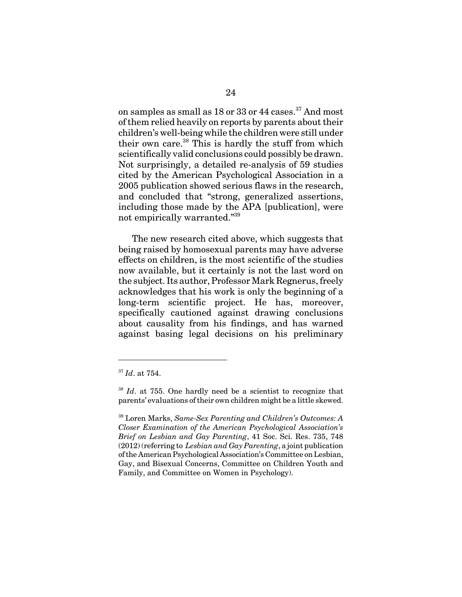on samples as small as  $18$  or  $33$  or  $44$  cases.<sup>37</sup> And most of them relied heavily on reports by parents about their children's well-being while the children were still under their own care.<sup>38</sup> This is hardly the stuff from which scientifically valid conclusions could possibly be drawn. Not surprisingly, a detailed re-analysis of 59 studies cited by the American Psychological Association in a 2005 publication showed serious flaws in the research, and concluded that "strong, generalized assertions, including those made by the APA [publication], were not empirically warranted."39

The new research cited above, which suggests that being raised by homosexual parents may have adverse effects on children, is the most scientific of the studies now available, but it certainly is not the last word on the subject. Its author, Professor Mark Regnerus, freely acknowledges that his work is only the beginning of a long-term scientific project. He has, moreover, specifically cautioned against drawing conclusions about causality from his findings, and has warned against basing legal decisions on his preliminary

<sup>37</sup> *Id*. at 754.

<sup>38</sup> *Id*. at 755. One hardly need be a scientist to recognize that parents' evaluations of their own children might be a little skewed.

<sup>39</sup> Loren Marks, *Same-Sex Parenting and Children's Outcomes: A Closer Examination of the American Psychological Association's Brief on Lesbian and Gay Parenting*, 41 Soc. Sci. Res. 735, 748 (2012) (referring to *Lesbian and Gay Parenting*, a joint publication of the American Psychological Association's Committee on Lesbian, Gay, and Bisexual Concerns, Committee on Children Youth and Family, and Committee on Women in Psychology).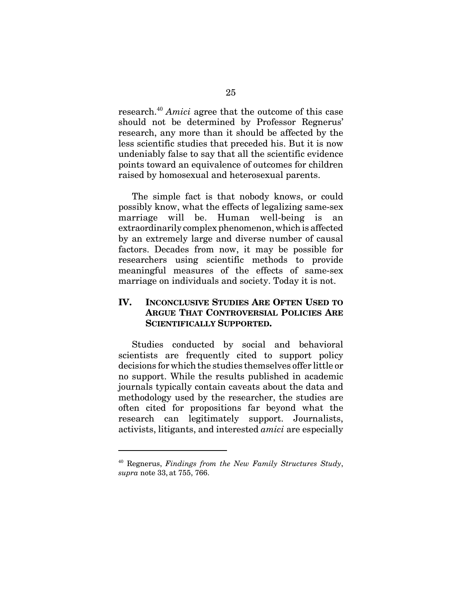research.<sup>40</sup> *Amici* agree that the outcome of this case should not be determined by Professor Regnerus' research, any more than it should be affected by the less scientific studies that preceded his. But it is now undeniably false to say that all the scientific evidence points toward an equivalence of outcomes for children raised by homosexual and heterosexual parents.

The simple fact is that nobody knows, or could possibly know, what the effects of legalizing same-sex marriage will be. Human well-being is an extraordinarily complex phenomenon, which is affected by an extremely large and diverse number of causal factors. Decades from now, it may be possible for researchers using scientific methods to provide meaningful measures of the effects of same-sex marriage on individuals and society. Today it is not.

#### **IV. INCONCLUSIVE STUDIES ARE OFTEN USED TO ARGUE THAT CONTROVERSIAL POLICIES ARE SCIENTIFICALLY SUPPORTED.**

Studies conducted by social and behavioral scientists are frequently cited to support policy decisions for which the studies themselves offer little or no support. While the results published in academic journals typically contain caveats about the data and methodology used by the researcher, the studies are often cited for propositions far beyond what the research can legitimately support. Journalists, activists, litigants, and interested *amici* are especially

<sup>40</sup> Regnerus, *Findings from the New Family Structures Study*, *supra* note 33, at 755, 766.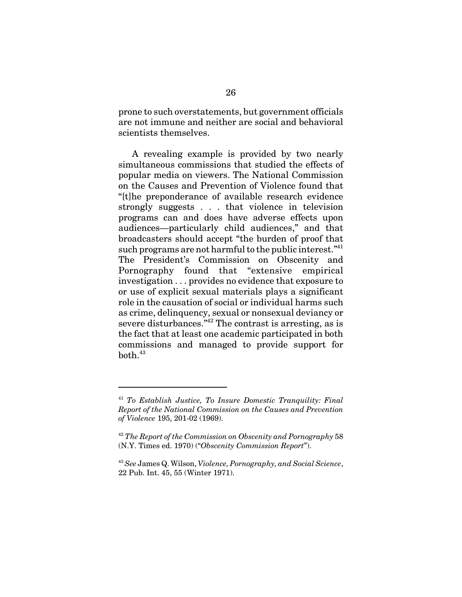prone to such overstatements, but government officials are not immune and neither are social and behavioral scientists themselves.

A revealing example is provided by two nearly simultaneous commissions that studied the effects of popular media on viewers. The National Commission on the Causes and Prevention of Violence found that "[t]he preponderance of available research evidence strongly suggests . . . that violence in television programs can and does have adverse effects upon audiences—particularly child audiences," and that broadcasters should accept "the burden of proof that such programs are not harmful to the public interest."<sup>41</sup> The President's Commission on Obscenity and Pornography found that "extensive empirical investigation . . . provides no evidence that exposure to or use of explicit sexual materials plays a significant role in the causation of social or individual harms such as crime, delinquency, sexual or nonsexual deviancy or severe disturbances.<sup> $n^{42}$ </sup> The contrast is arresting, as is the fact that at least one academic participated in both commissions and managed to provide support for  $both.<sup>43</sup>$ 

<sup>41</sup> *To Establish Justice, To Insure Domestic Tranquility: Final Report of the National Commission on the Causes and Prevention of Violence* 195, 201-02 (1969).

<sup>42</sup> *The Report of the Commission on Obscenity and Pornography* 58 (N.Y. Times ed. 1970) ("*Obscenity Commission Report*").

<sup>43</sup> *See* James Q. Wilson, *Violence, Pornography, and Social Science*, 22 Pub. Int. 45, 55 (Winter 1971).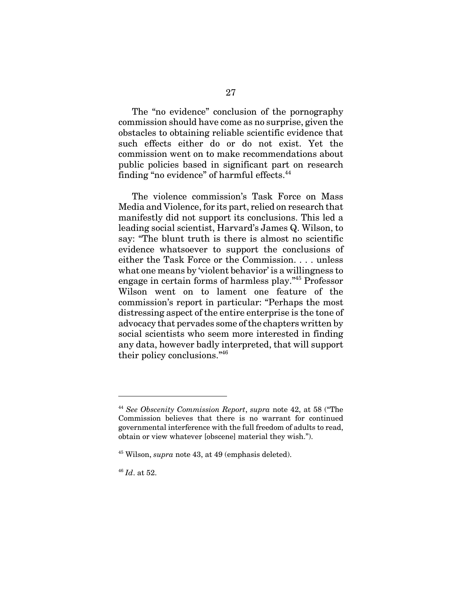The "no evidence" conclusion of the pornography commission should have come as no surprise, given the obstacles to obtaining reliable scientific evidence that such effects either do or do not exist. Yet the commission went on to make recommendations about public policies based in significant part on research finding "no evidence" of harmful effects.<sup>44</sup>

The violence commission's Task Force on Mass Media and Violence, for its part, relied on research that manifestly did not support its conclusions. This led a leading social scientist, Harvard's James Q. Wilson, to say: "The blunt truth is there is almost no scientific evidence whatsoever to support the conclusions of either the Task Force or the Commission. . . . unless what one means by 'violent behavior' is a willingness to engage in certain forms of harmless play."45 Professor Wilson went on to lament one feature of the commission's report in particular: "Perhaps the most distressing aspect of the entire enterprise is the tone of advocacy that pervades some of the chapters written by social scientists who seem more interested in finding any data, however badly interpreted, that will support their policy conclusions."46

<sup>44</sup> *See Obscenity Commission Report*, *supra* note 42, at 58 ("The Commission believes that there is no warrant for continued governmental interference with the full freedom of adults to read, obtain or view whatever [obscene] material they wish.").

<sup>45</sup> Wilson, *supra* note 43, at 49 (emphasis deleted).

<sup>46</sup> *Id*. at 52.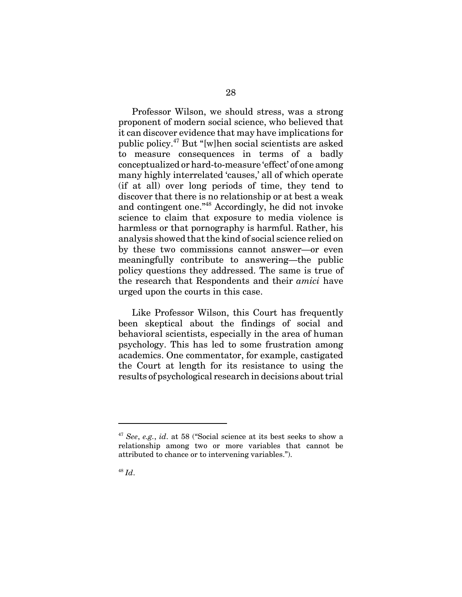Professor Wilson, we should stress, was a strong proponent of modern social science, who believed that it can discover evidence that may have implications for public policy.47 But "[w]hen social scientists are asked to measure consequences in terms of a badly conceptualized or hard-to-measure 'effect' of one among many highly interrelated 'causes,' all of which operate (if at all) over long periods of time, they tend to discover that there is no relationship or at best a weak and contingent one."48 Accordingly, he did not invoke science to claim that exposure to media violence is harmless or that pornography is harmful. Rather, his analysis showed that the kind of social science relied on by these two commissions cannot answer—or even meaningfully contribute to answering—the public policy questions they addressed. The same is true of the research that Respondents and their *amici* have urged upon the courts in this case.

Like Professor Wilson, this Court has frequently been skeptical about the findings of social and behavioral scientists, especially in the area of human psychology. This has led to some frustration among academics. One commentator, for example, castigated the Court at length for its resistance to using the results of psychological research in decisions about trial

<sup>47</sup> *See*, *e.g.*, *id*. at 58 ("Social science at its best seeks to show a relationship among two or more variables that cannot be attributed to chance or to intervening variables.").

<sup>48</sup> *Id*.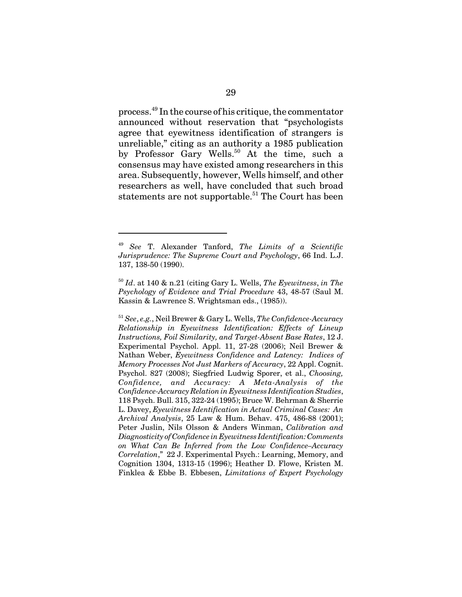process.49 In the course of his critique, the commentator announced without reservation that "psychologists agree that eyewitness identification of strangers is unreliable," citing as an authority a 1985 publication by Professor Gary Wells.<sup>50</sup> At the time, such a consensus may have existed among researchers in this area. Subsequently, however, Wells himself, and other researchers as well, have concluded that such broad statements are not supportable.<sup>51</sup> The Court has been

<sup>49</sup> *See* T. Alexander Tanford, *The Limits of a Scientific Jurisprudence: The Supreme Court and Psychology*, 66 Ind. L.J. 137, 138-50 (1990).

<sup>50</sup> *Id*. at 140 & n.21 (citing Gary L. Wells, *The Eyewitness*, *in The Psychology of Evidence and Trial Procedure* 43, 48-57 (Saul M. Kassin & Lawrence S. Wrightsman eds., (1985)).

<sup>51</sup> *See*, *e.g.*, Neil Brewer & Gary L. Wells, *The Confidence-Accuracy Relationship in Eyewitness Identification: Effects of Lineup Instructions, Foil Similarity, and Target-Absent Base Rates*, 12 J. Experimental Psychol. Appl. 11, 27-28 (2006); Neil Brewer & Nathan Weber, *Eyewitness Confidence and Latency: Indices of Memory Processes Not Just Markers of Accuracy*, 22 Appl. Cognit. Psychol. 827 (2008); Siegfried Ludwig Sporer, et al., *Choosing, Confidence, and Accuracy: A Meta-Analysis of the Confidence-Accuracy Relation in Eyewitness Identification Studies*, 118 Psych. Bull. 315, 322-24 (1995); Bruce W. Behrman & Sherrie L. Davey, *Eyewitness Identification in Actual Criminal Cases: An Archival Analysis*, 25 Law & Hum. Behav. 475, 486-88 (2001); Peter Juslin, Nils Olsson & Anders Winman, *Calibration and Diagnosticity of Confidence in Eyewitness Identification: Comments on What Can Be Inferred from the Low Confidence–Accuracy Correlation*," 22 J. Experimental Psych.: Learning, Memory, and Cognition 1304, 1313-15 (1996); Heather D. Flowe, Kristen M. Finklea & Ebbe B. Ebbesen, *Limitations of Expert Psychology*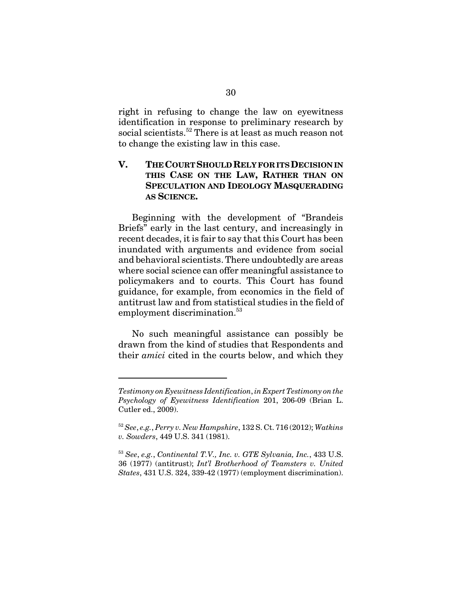right in refusing to change the law on eyewitness identification in response to preliminary research by social scientists.<sup>52</sup> There is at least as much reason not to change the existing law in this case.

### **V. THE COURT SHOULD RELY FOR ITS DECISION IN THIS CASE ON THE LAW, RATHER THAN ON SPECULATION AND IDEOLOGY MASQUERADING AS SCIENCE.**

Beginning with the development of "Brandeis Briefs" early in the last century, and increasingly in recent decades, it is fair to say that this Court has been inundated with arguments and evidence from social and behavioral scientists. There undoubtedly are areas where social science can offer meaningful assistance to policymakers and to courts. This Court has found guidance, for example, from economics in the field of antitrust law and from statistical studies in the field of employment discrimination.<sup>53</sup>

No such meaningful assistance can possibly be drawn from the kind of studies that Respondents and their *amici* cited in the courts below, and which they

*Testimony on Eyewitness Identification*, *in Expert Testimony on the Psychology of Eyewitness Identification* 201, 206-09 (Brian L. Cutler ed., 2009).

<sup>52</sup> *See*, *e.g.*, *Perry v. New Hampshire*, 132 S. Ct. 716 (2012); *Watkins v. Sowders*, 449 U.S. 341 (1981).

<sup>53</sup> *See*, *e.g.*, *Continental T.V., Inc. v. GTE Sylvania, Inc.*, 433 U.S. 36 (1977) (antitrust); *Int'l Brotherhood of Teamsters v. United States*, 431 U.S. 324, 339-42 (1977) (employment discrimination).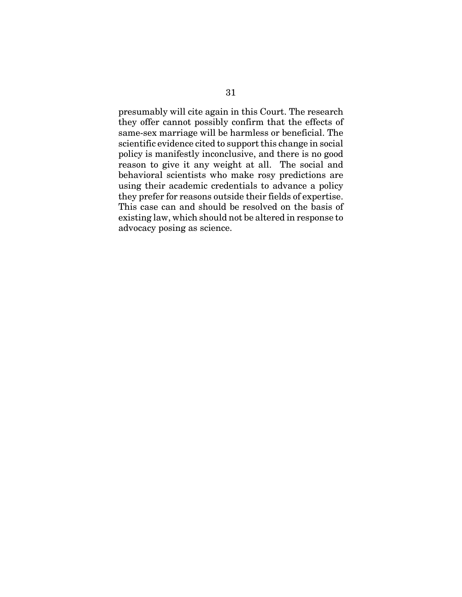presumably will cite again in this Court. The research they offer cannot possibly confirm that the effects of same-sex marriage will be harmless or beneficial. The scientific evidence cited to support this change in social policy is manifestly inconclusive, and there is no good reason to give it any weight at all. The social and behavioral scientists who make rosy predictions are using their academic credentials to advance a policy they prefer for reasons outside their fields of expertise. This case can and should be resolved on the basis of existing law, which should not be altered in response to advocacy posing as science.